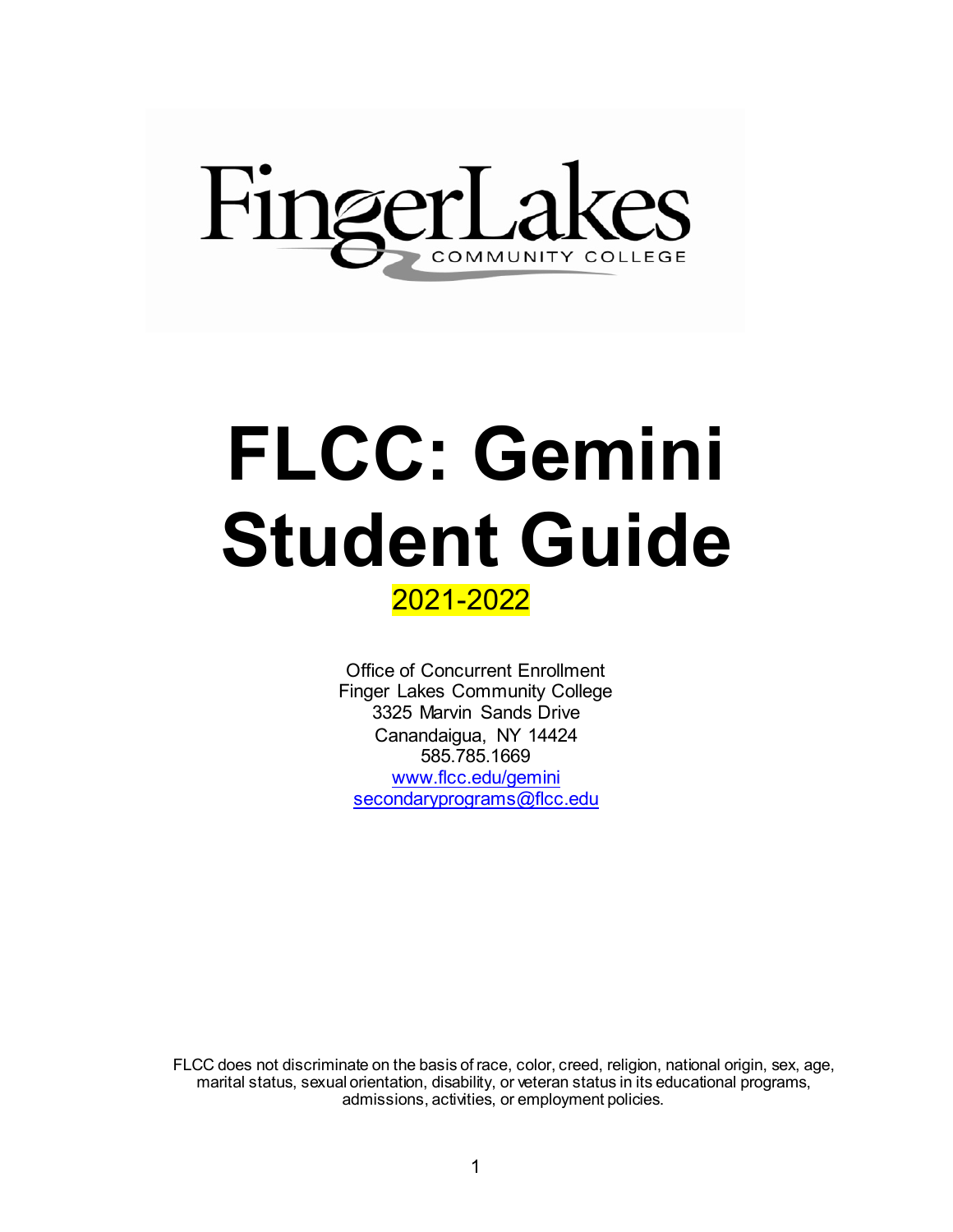

# **FLCC: Gemini Student Guide**

# 2021-2022

Office of Concurrent Enrollment Finger Lakes Community College 3325 Marvin Sands Drive Canandaigua, NY 14424 585.785.1669 [www.flcc.edu/gemini](http://www.flcc.edu/gemini) [secondaryprograms@flcc.edu](mailto:secondaryprograms@flcc.edu)

FLCC does not discriminate on the basis of race, color, creed, religion, national origin, sex, age, marital status, sexual orientation, disability, or veteran status in its educational programs, admissions, activities, or employment policies.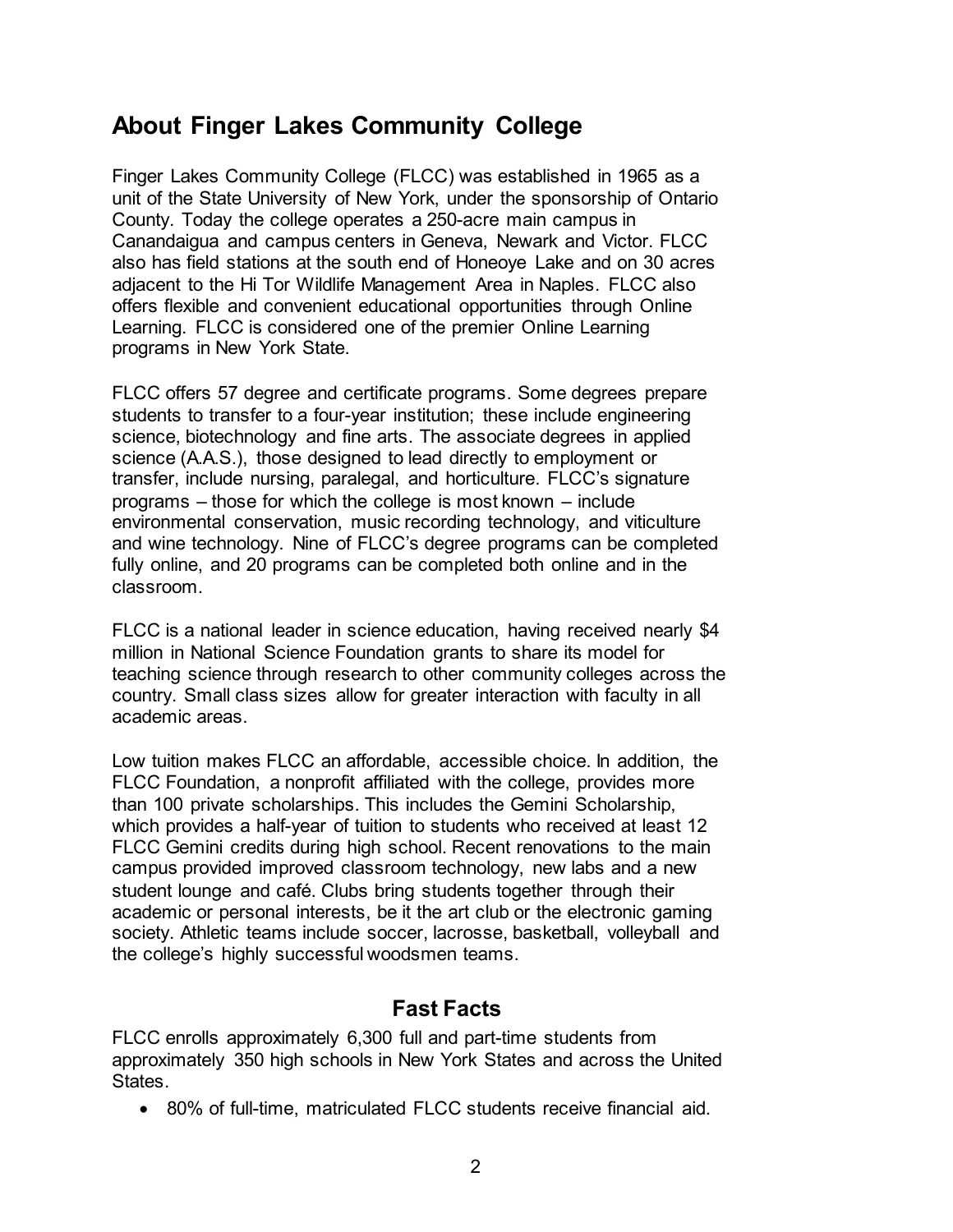# **About Finger Lakes Community College**

Finger Lakes Community College (FLCC) was established in 1965 as a unit of the State University of New York, under the sponsorship of Ontario County. Today the college operates a 250-acre main campus in Canandaigua and campus centers in Geneva, Newark and Victor. FLCC also has field stations at the south end of Honeoye Lake and on 30 acres adjacent to the Hi Tor Wildlife Management Area in Naples. FLCC also offers flexible and convenient educational opportunities through Online Learning. FLCC is considered one of the premier Online Learning programs in New York State.

FLCC offers 57 degree and certificate programs. Some degrees prepare students to transfer to a four-year institution; these include engineering science, biotechnology and fine arts. The associate degrees in applied science (A.A.S.), those designed to lead directly to employment or transfer, include nursing, paralegal, and horticulture. FLCC's signature programs – those for which the college is most known – include environmental conservation, music recording technology, and viticulture and wine technology. Nine of FLCC's degree programs can be completed fully online, and 20 programs can be completed both online and in the classroom.

FLCC is a national leader in science education, having received nearly \$4 million in National Science Foundation grants to share its model for teaching science through research to other community colleges across the country. Small class sizes allow for greater interaction with faculty in all academic areas.

Low tuition makes FLCC an affordable, accessible choice. In addition, the FLCC Foundation, a nonprofit affiliated with the college, provides more than 100 private scholarships. This includes the Gemini Scholarship, which provides a half-year of tuition to students who received at least 12 FLCC Gemini credits during high school. Recent renovations to the main campus provided improved classroom technology, new labs and a new student lounge and café. Clubs bring students together through their academic or personal interests, be it the art club or the electronic gaming society. Athletic teams include soccer, lacrosse, basketball, volleyball and the college's highly successful woodsmen teams.

#### **Fast Facts**

FLCC enrolls approximately 6,300 full and part-time students from approximately 350 high schools in New York States and across the United **States** 

• 80% of full-time, matriculated FLCC students receive financial aid.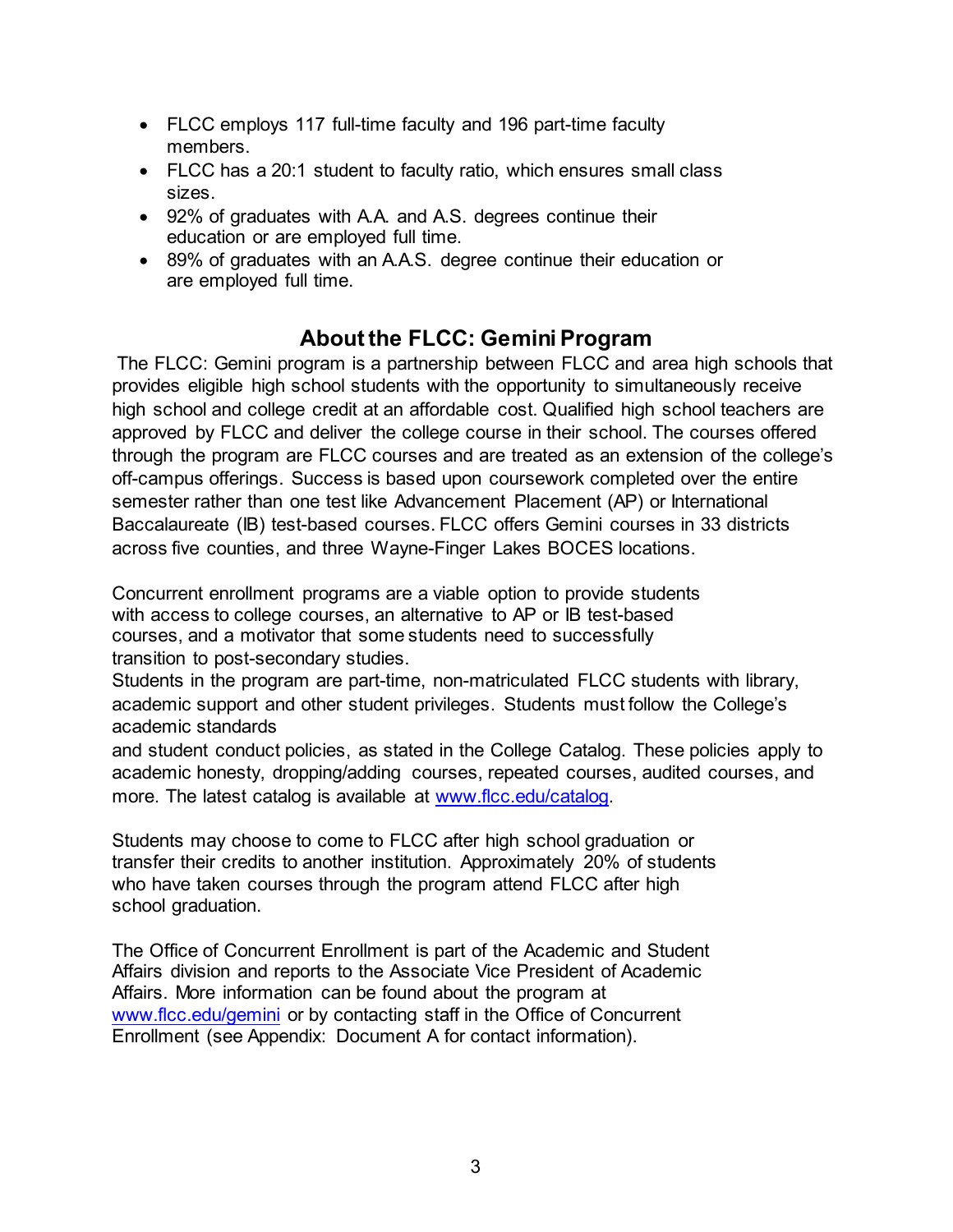- FLCC employs 117 full-time faculty and 196 part-time faculty members.
- FLCC has a 20:1 student to faculty ratio, which ensures small class sizes.
- 92% of graduates with A.A. and A.S. degrees continue their education or are employed full time.
- 89% of graduates with an A.A.S. degree continue their education or are employed full time.

# **About the FLCC: Gemini Program**

The FLCC: Gemini program is a partnership between FLCC and area high schools that provides eligible high school students with the opportunity to simultaneously receive high school and college credit at an affordable cost. Qualified high school teachers are approved by FLCC and deliver the college course in their school. The courses offered through the program are FLCC courses and are treated as an extension of the college's off-campus offerings. Success is based upon coursework completed over the entire semester rather than one test like Advancement Placement (AP) or International Baccalaureate (IB) test-based courses. FLCC offers Gemini courses in 33 districts across five counties, and three Wayne-Finger Lakes BOCES locations.

Concurrent enrollment programs are a viable option to provide students with access to college courses, an alternative to AP or IB test-based courses, and a motivator that some students need to successfully transition to post-secondary studies.

Students in the program are part-time, non-matriculated FLCC students with library, academic support and other student privileges. Students must follow the College's academic standards

and student conduct policies, as stated in the College Catalog. These policies apply to academic honesty, dropping/adding courses, repeated courses, audited courses, and more. The latest catalog is available at [www.flcc.edu/catalog.](http://www.flcc.edu/catalog) 

Students may choose to come to FLCC after high school graduation or transfer their credits to another institution. Approximately 20% of students who have taken courses through the program attend FLCC after high school graduation.

The Office of Concurrent Enrollment is part of the Academic and Student Affairs division and reports to the Associate Vice President of Academic Affairs. More information can be found about the program at [www.flcc.edu/gemini](http://www.flcc.edu/gemini) [o](http://www.flcc.edu/gemini)r by contacting staff in the Office of Concurrent Enrollment (see Appendix: Document A for contact information).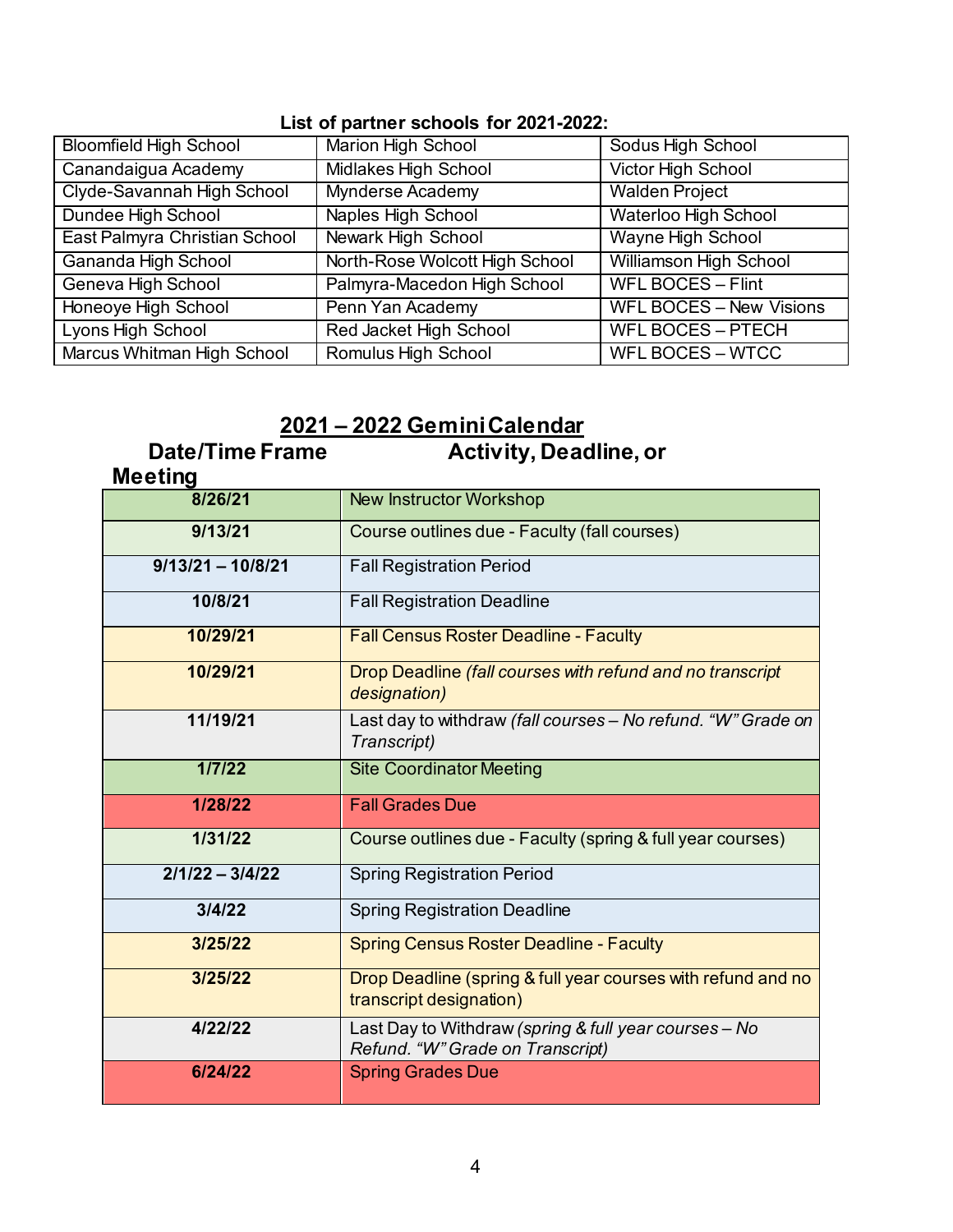#### **List of partner schools for 2021-2022:**

| <b>Bloomfield High School</b> | Marion High School             | Sodus High School              |
|-------------------------------|--------------------------------|--------------------------------|
| Canandaigua Academy           | <b>Midlakes High School</b>    | <b>Victor High School</b>      |
| Clyde-Savannah High School    | <b>Mynderse Academy</b>        | <b>Walden Project</b>          |
| Dundee High School            | <b>Naples High School</b>      | <b>Waterloo High School</b>    |
| East Palmyra Christian School | <b>Newark High School</b>      | <b>Wayne High School</b>       |
| Gananda High School           | North-Rose Wolcott High School | <b>Williamson High School</b>  |
| Geneva High School            | Palmyra-Macedon High School    | <b>WFL BOCES - Flint</b>       |
| Honeoye High School           | Penn Yan Academy               | <b>WFL BOCES - New Visions</b> |
| Lyons High School             | Red Jacket High School         | <b>WFL BOCES - PTECH</b>       |
| Marcus Whitman High School    | Romulus High School            | <b>WFL BOCES - WTCC</b>        |

#### **2021 – 2022 Gemini Calendar**

 **Date/Time Frame Activity, Deadline, or** 

| <b>Meeting</b>      |                                                                                           |
|---------------------|-------------------------------------------------------------------------------------------|
| 8/26/21             | <b>New Instructor Workshop</b>                                                            |
| 9/13/21             | Course outlines due - Faculty (fall courses)                                              |
| $9/13/21 - 10/8/21$ | <b>Fall Registration Period</b>                                                           |
| 10/8/21             | <b>Fall Registration Deadline</b>                                                         |
| 10/29/21            | <b>Fall Census Roster Deadline - Faculty</b>                                              |
| 10/29/21            | Drop Deadline (fall courses with refund and no transcript<br>designation)                 |
| 11/19/21            | Last day to withdraw (fall courses - No refund. "W" Grade on<br>Transcript)               |
| 1/7/22              | <b>Site Coordinator Meeting</b>                                                           |
| 1/28/22             | <b>Fall Grades Due</b>                                                                    |
| 1/31/22             | Course outlines due - Faculty (spring & full year courses)                                |
| $2/1/22 - 3/4/22$   | <b>Spring Registration Period</b>                                                         |
| 3/4/22              | <b>Spring Registration Deadline</b>                                                       |
| 3/25/22             | <b>Spring Census Roster Deadline - Faculty</b>                                            |
| 3/25/22             | Drop Deadline (spring & full year courses with refund and no<br>transcript designation)   |
| 4/22/22             | Last Day to Withdraw (spring & full year courses - No<br>Refund. "W" Grade on Transcript) |
| 6/24/22             | <b>Spring Grades Due</b>                                                                  |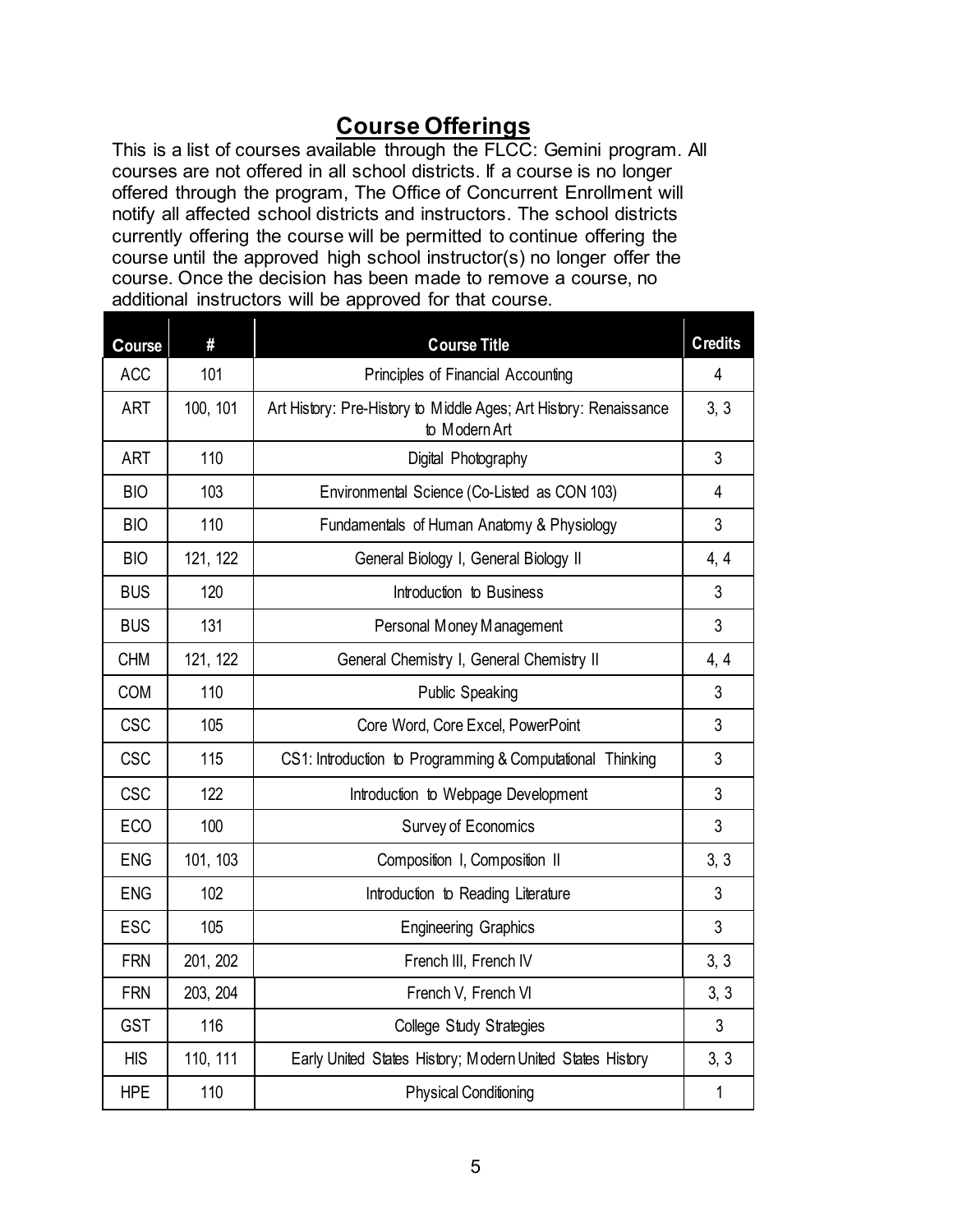# **Course Offerings**

This is a list of courses available through the FLCC: Gemini program. All courses are not offered in all school districts. If a course is no longer offered through the program, The Office of Concurrent Enrollment will notify all affected school districts and instructors. The school districts currently offering the course will be permitted to continue offering the course until the approved high school instructor(s) no longer offer the course. Once the decision has been made to remove a course, no additional instructors will be approved for that course.

| Course     | #        | <b>Course Title</b>                                                                | <b>Credits</b> |
|------------|----------|------------------------------------------------------------------------------------|----------------|
| <b>ACC</b> | 101      | Principles of Financial Accounting                                                 |                |
| <b>ART</b> | 100, 101 | Art History: Pre-History to Middle Ages; Art History: Renaissance<br>to Modern Art |                |
| <b>ART</b> | 110      | Digital Photography                                                                | 3              |
| <b>BIO</b> | 103      | Environmental Science (Co-Listed as CON 103)                                       | $\overline{4}$ |
| <b>BIO</b> | 110      | Fundamentals of Human Anatomy & Physiology                                         | 3              |
| <b>BIO</b> | 121, 122 | General Biology I, General Biology II                                              | 4, 4           |
| <b>BUS</b> | 120      | Introduction to Business                                                           | 3              |
| <b>BUS</b> | 131      | Personal Money Management                                                          | 3              |
| <b>CHM</b> | 121, 122 | General Chemistry I, General Chemistry II                                          |                |
| <b>COM</b> | 110      | Public Speaking                                                                    |                |
| <b>CSC</b> | 105      | Core Word, Core Excel, PowerPoint                                                  |                |
| <b>CSC</b> | 115      | CS1: Introduction to Programming & Computational Thinking                          |                |
| <b>CSC</b> | 122      | Introduction to Webpage Development                                                |                |
| <b>ECO</b> | 100      | Survey of Economics                                                                |                |
| <b>ENG</b> | 101, 103 | Composition I, Composition II                                                      |                |
| <b>ENG</b> | 102      | Introduction to Reading Literature                                                 |                |
| <b>ESC</b> | 105      | <b>Engineering Graphics</b>                                                        |                |
| <b>FRN</b> | 201, 202 | French III, French IV                                                              |                |
| <b>FRN</b> | 203, 204 | French V, French VI                                                                |                |
| <b>GST</b> | 116      | College Study Strategies                                                           |                |
| <b>HIS</b> | 110, 111 | Early United States History; Modern United States History                          |                |
| <b>HPE</b> | 110      | <b>Physical Conditioning</b>                                                       | $\mathbf{1}$   |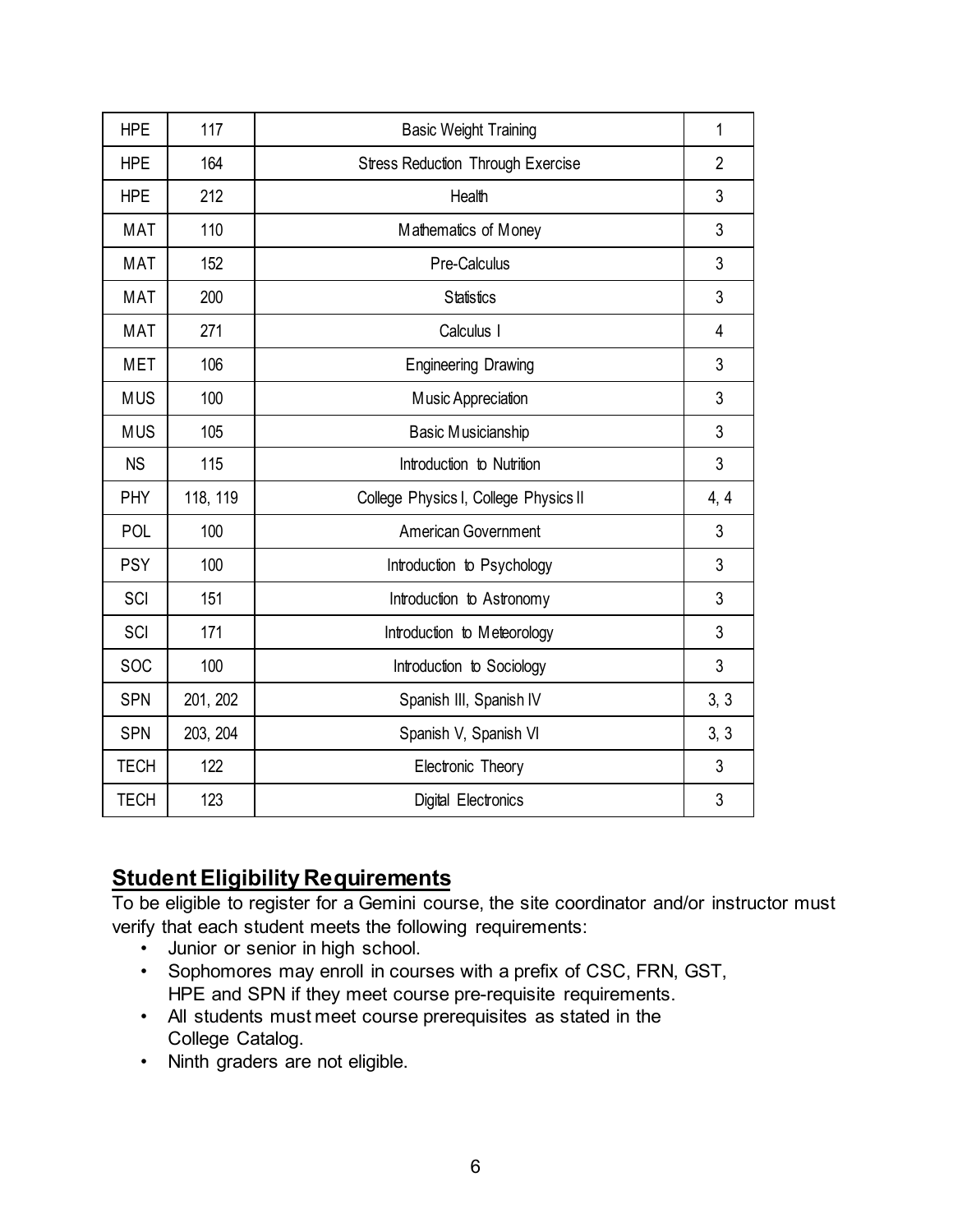| <b>HPE</b>  | 117      | <b>Basic Weight Training</b>             |   |
|-------------|----------|------------------------------------------|---|
| <b>HPE</b>  | 164      | <b>Stress Reduction Through Exercise</b> |   |
| <b>HPE</b>  | 212      | Health                                   |   |
| <b>MAT</b>  | 110      | Mathematics of Money                     |   |
| <b>MAT</b>  | 152      | Pre-Calculus                             | 3 |
| <b>MAT</b>  | 200      | <b>Statistics</b>                        | 3 |
| <b>MAT</b>  | 271      | Calculus I                               | 4 |
| <b>MET</b>  | 106      | <b>Engineering Drawing</b>               | 3 |
| <b>MUS</b>  | 100      | Music Appreciation                       | 3 |
| <b>MUS</b>  | 105      | Basic Musicianship                       |   |
| <b>NS</b>   | 115      | Introduction to Nutrition                |   |
| PHY         | 118, 119 | College Physics I, College Physics II    |   |
| POL         | 100      | <b>American Government</b>               |   |
| <b>PSY</b>  | 100      | Introduction to Psychology               |   |
| SCI         | 151      | Introduction to Astronomy                |   |
| SCI         | 171      | Introduction to Meteorology              |   |
| SOC         | 100      | Introduction to Sociology                |   |
| <b>SPN</b>  | 201, 202 | Spanish III, Spanish IV                  |   |
| <b>SPN</b>  | 203, 204 | Spanish V, Spanish VI                    |   |
| <b>TECH</b> | 122      | Electronic Theory                        |   |
| <b>TECH</b> | 123      | Digital Electronics                      | 3 |

# **Student Eligibility Requirements**

To be eligible to register for a Gemini course, the site coordinator and/or instructor must verify that each student meets the following requirements:

- Junior or senior in high school.
- Sophomores may enroll in courses with a prefix of CSC, FRN, GST, HPE and SPN if they meet course pre-requisite requirements.
- All students must meet course prerequisites as stated in the College Catalog.
- Ninth graders are not eligible.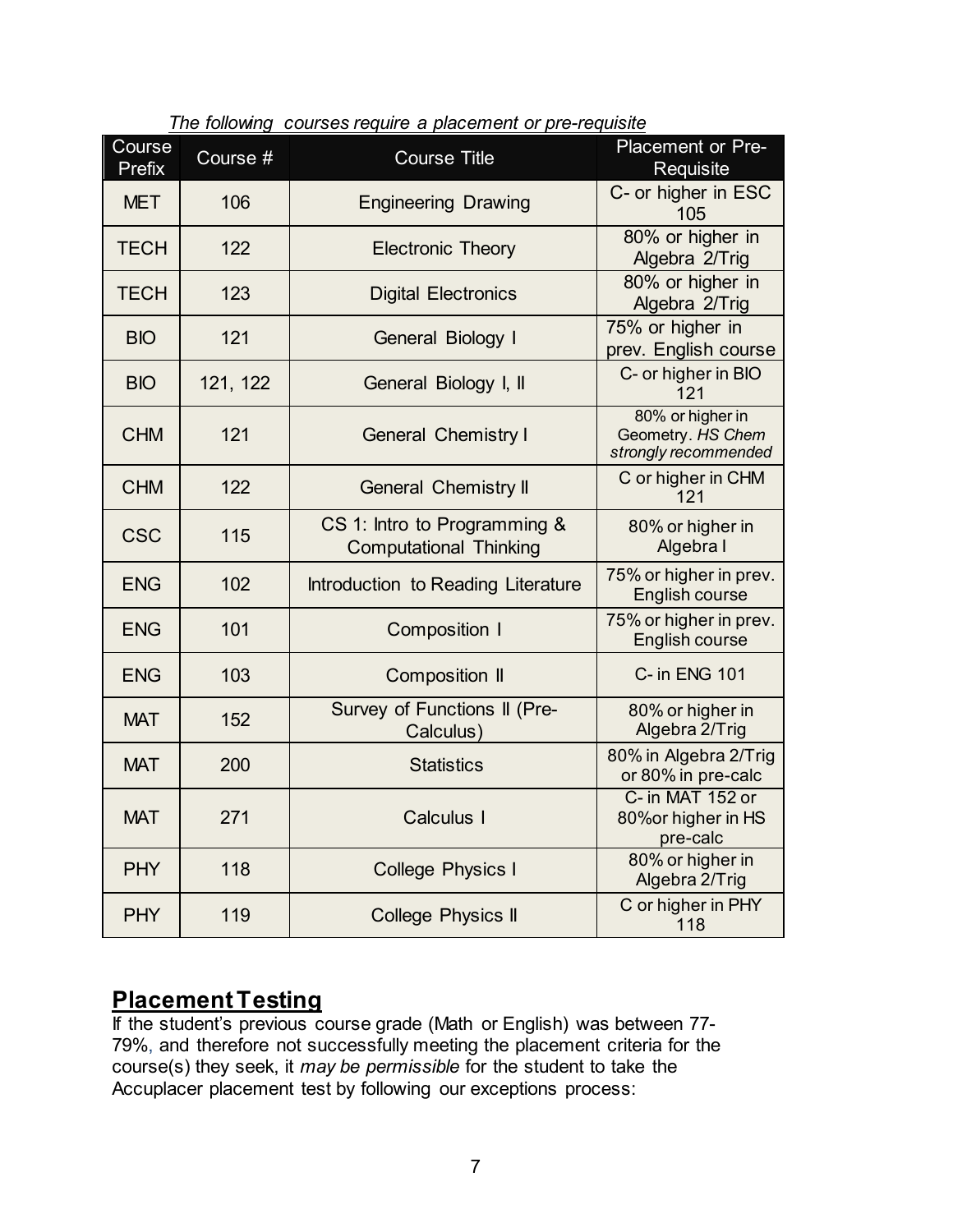| Course      | Course $#$<br><b>Course Title</b> |                                                                   | <b>Placement or Pre-</b>                                      |  |
|-------------|-----------------------------------|-------------------------------------------------------------------|---------------------------------------------------------------|--|
| Prefix      |                                   |                                                                   | Requisite                                                     |  |
| <b>MET</b>  | 106                               | <b>Engineering Drawing</b>                                        | C- or higher in ESC<br>105                                    |  |
| <b>TECH</b> | 122                               | <b>Electronic Theory</b>                                          | 80% or higher in<br>Algebra 2/Trig                            |  |
| <b>TECH</b> | 123                               | <b>Digital Electronics</b>                                        | 80% or higher in<br>Algebra 2/Trig                            |  |
| <b>BIO</b>  | 121                               | General Biology I                                                 | 75% or higher in<br>prev. English course                      |  |
| <b>BIO</b>  | 121, 122                          | General Biology I, II                                             | C- or higher in BIO<br>121                                    |  |
| <b>CHM</b>  | 121                               | <b>General Chemistry I</b>                                        | 80% or higher in<br>Geometry. HS Chem<br>strongly recommended |  |
| <b>CHM</b>  | 122                               | <b>General Chemistry II</b>                                       | C or higher in CHM<br>121                                     |  |
| <b>CSC</b>  | 115                               | CS 1: Intro to Programming &<br><b>Computational Thinking</b>     | 80% or higher in<br>Algebra I                                 |  |
| <b>ENG</b>  | 102                               | Introduction to Reading Literature                                | 75% or higher in prev.<br>English course                      |  |
| <b>ENG</b>  | 101                               | <b>Composition I</b>                                              | 75% or higher in prev.<br>English course                      |  |
| <b>ENG</b>  | 103                               | <b>Composition II</b>                                             | C- in ENG 101                                                 |  |
| <b>MAT</b>  | 152                               | Survey of Functions II (Pre-<br>Calculus)                         | 80% or higher in<br>Algebra 2/Trig                            |  |
| <b>MAT</b>  | 200                               | <b>Statistics</b>                                                 | 80% in Algebra 2/Trig<br>or 80% in pre-calc                   |  |
| <b>MAT</b>  | 271                               | C- in MAT 152 or<br>Calculus I<br>80% or higher in HS<br>pre-calc |                                                               |  |
| <b>PHY</b>  | 118                               | 80% or higher in<br><b>College Physics I</b><br>Algebra 2/Trig    |                                                               |  |
| <b>PHY</b>  | 119                               | C or higher in PHY<br><b>College Physics II</b><br>118            |                                                               |  |

*The following courses require a placement or pre-requisite*

## **Placement Testing**

If the student's previous course grade (Math or English) was between 77- 79%, and therefore not successfully meeting the placement criteria for the course(s) they seek, it *may be permissible* for the student to take the Accuplacer placement test by following our exceptions process: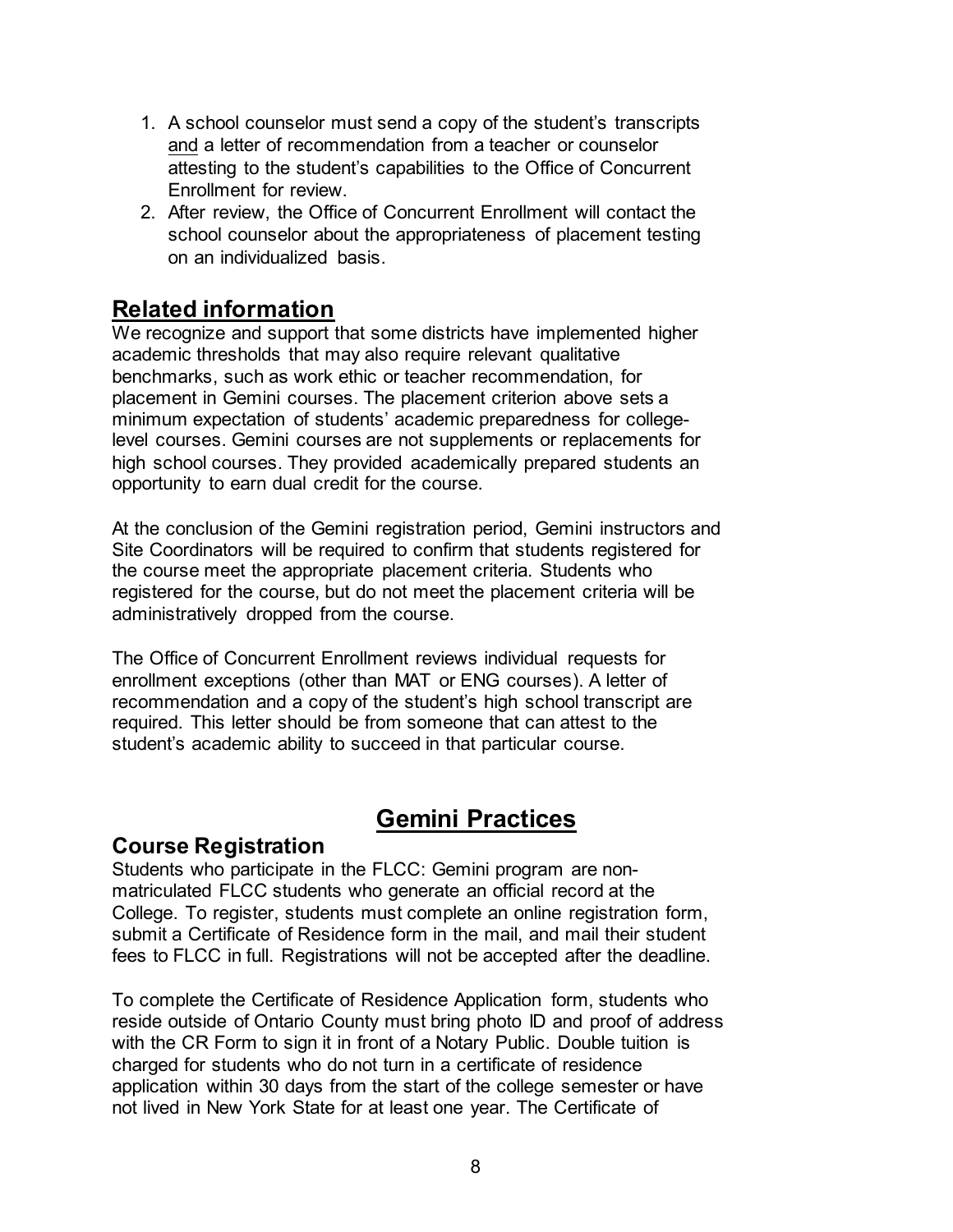- 1. A school counselor must send a copy of the student's transcripts and a letter of recommendation from a teacher or counselor attesting to the student's capabilities to the Office of Concurrent Enrollment for review.
- 2. After review, the Office of Concurrent Enrollment will contact the school counselor about the appropriateness of placement testing on an individualized basis.

# **Related information**

We recognize and support that some districts have implemented higher academic thresholds that may also require relevant qualitative benchmarks, such as work ethic or teacher recommendation, for placement in Gemini courses. The placement criterion above sets a minimum expectation of students' academic preparedness for collegelevel courses. Gemini courses are not supplements or replacements for high school courses. They provided academically prepared students an opportunity to earn dual credit for the course.

At the conclusion of the Gemini registration period, Gemini instructors and Site Coordinators will be required to confirm that students registered for the course meet the appropriate placement criteria. Students who registered for the course, but do not meet the placement criteria will be administratively dropped from the course.

The Office of Concurrent Enrollment reviews individual requests for enrollment exceptions (other than MAT or ENG courses). A letter of recommendation and a copy of the student's high school transcript are required. This letter should be from someone that can attest to the student's academic ability to succeed in that particular course.

# **Gemini Practices**

#### **Course Registration**

Students who participate in the FLCC: Gemini program are nonmatriculated FLCC students who generate an official record at the College. To register, students must complete an online registration form, submit a Certificate of Residence form in the mail, and mail their student fees to FLCC in full. Registrations will not be accepted after the deadline.

To complete the Certificate of Residence Application form, students who reside outside of Ontario County must bring photo ID and proof of address with the CR Form to sign it in front of a Notary Public. Double tuition is charged for students who do not turn in a certificate of residence application within 30 days from the start of the college semester or have not lived in New York State for at least one year. The Certificate of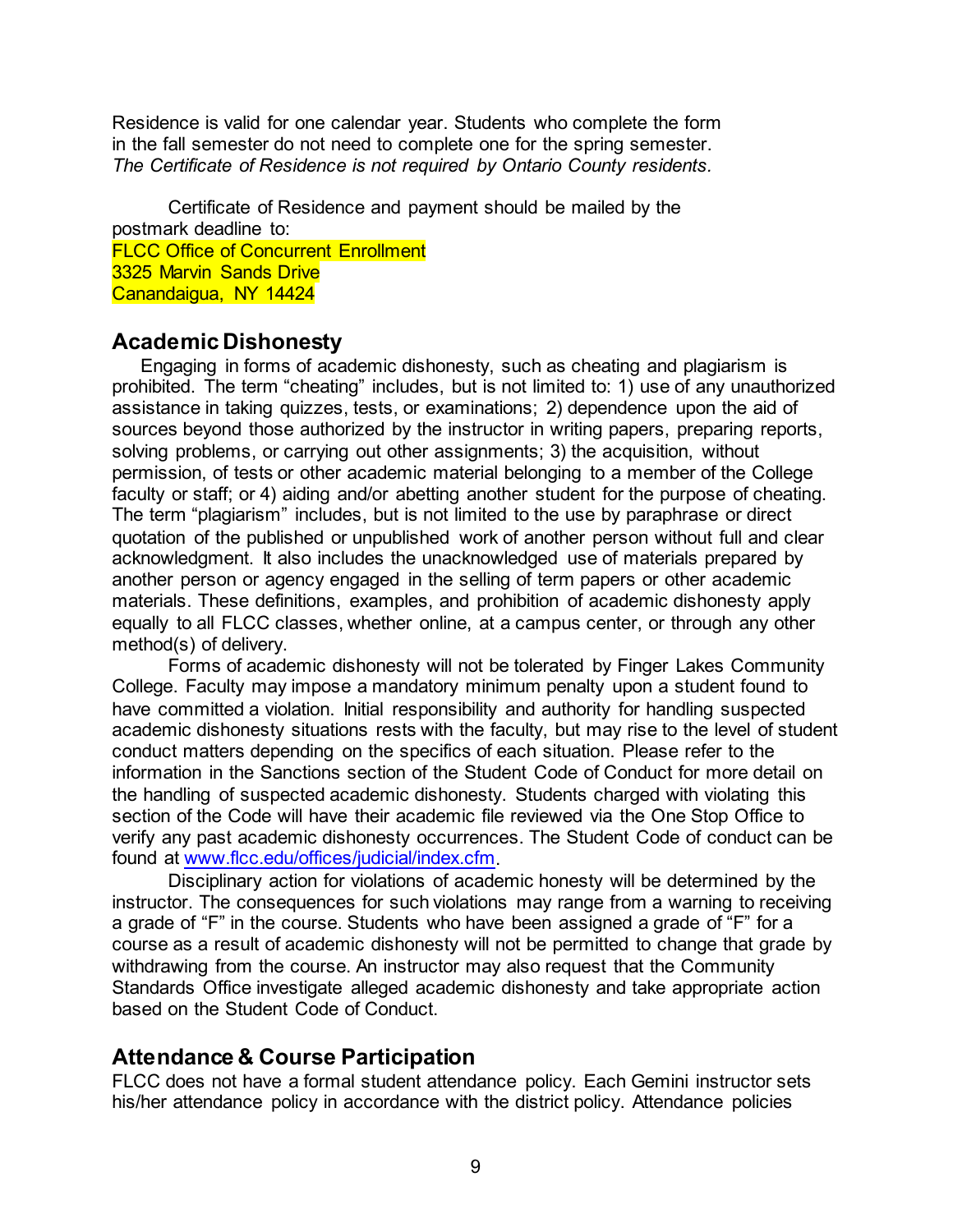Residence is valid for one calendar year. Students who complete the form in the fall semester do not need to complete one for the spring semester. *The Certificate of Residence is not required by Ontario County residents.*

Certificate of Residence and payment should be mailed by the postmark deadline to: FLCC Office of Concurrent Enrollment 3325 Marvin Sands Drive Canandaigua, NY 14424

#### **Academic Dishonesty**

Engaging in forms of academic dishonesty, such as cheating and plagiarism is prohibited. The term "cheating" includes, but is not limited to: 1) use of any unauthorized assistance in taking quizzes, tests, or examinations; 2) dependence upon the aid of sources beyond those authorized by the instructor in writing papers, preparing reports, solving problems, or carrying out other assignments; 3) the acquisition, without permission, of tests or other academic material belonging to a member of the College faculty or staff; or 4) aiding and/or abetting another student for the purpose of cheating. The term "plagiarism" includes, but is not limited to the use by paraphrase or direct quotation of the published or unpublished work of another person without full and clear acknowledgment. It also includes the unacknowledged use of materials prepared by another person or agency engaged in the selling of term papers or other academic materials. These definitions, examples, and prohibition of academic dishonesty apply equally to all FLCC classes, whether online, at a campus center, or through any other method(s) of delivery.

Forms of academic dishonesty will not be tolerated by Finger Lakes Community College. Faculty may impose a mandatory minimum penalty upon a student found to have committed a violation. Initial responsibility and authority for handling suspected academic dishonesty situations rests with the faculty, but may rise to the level of student conduct matters depending on the specifics of each situation. Please refer to the information in the Sanctions section of the Student Code of Conduct for more detail on the handling of suspected academic dishonesty. Students charged with violating this section of the Code will have their academic file reviewed via the One Stop Office to verify any past academic dishonesty occurrences. The Student Code of conduct can be found at [www.flcc.edu/offices/judicial/index.cfm.](http://www.flcc.edu/offices/judicial/index.cfm) 

Disciplinary action for violations of academic honesty will be determined by the instructor. The consequences for such violations may range from a warning to receiving a grade of "F" in the course. Students who have been assigned a grade of "F" for a course as a result of academic dishonesty will not be permitted to change that grade by withdrawing from the course. An instructor may also request that the Community Standards Office investigate alleged academic dishonesty and take appropriate action based on the Student Code of Conduct.

#### **Attendance & Course Participation**

FLCC does not have a formal student attendance policy. Each Gemini instructor sets his/her attendance policy in accordance with the district policy. Attendance policies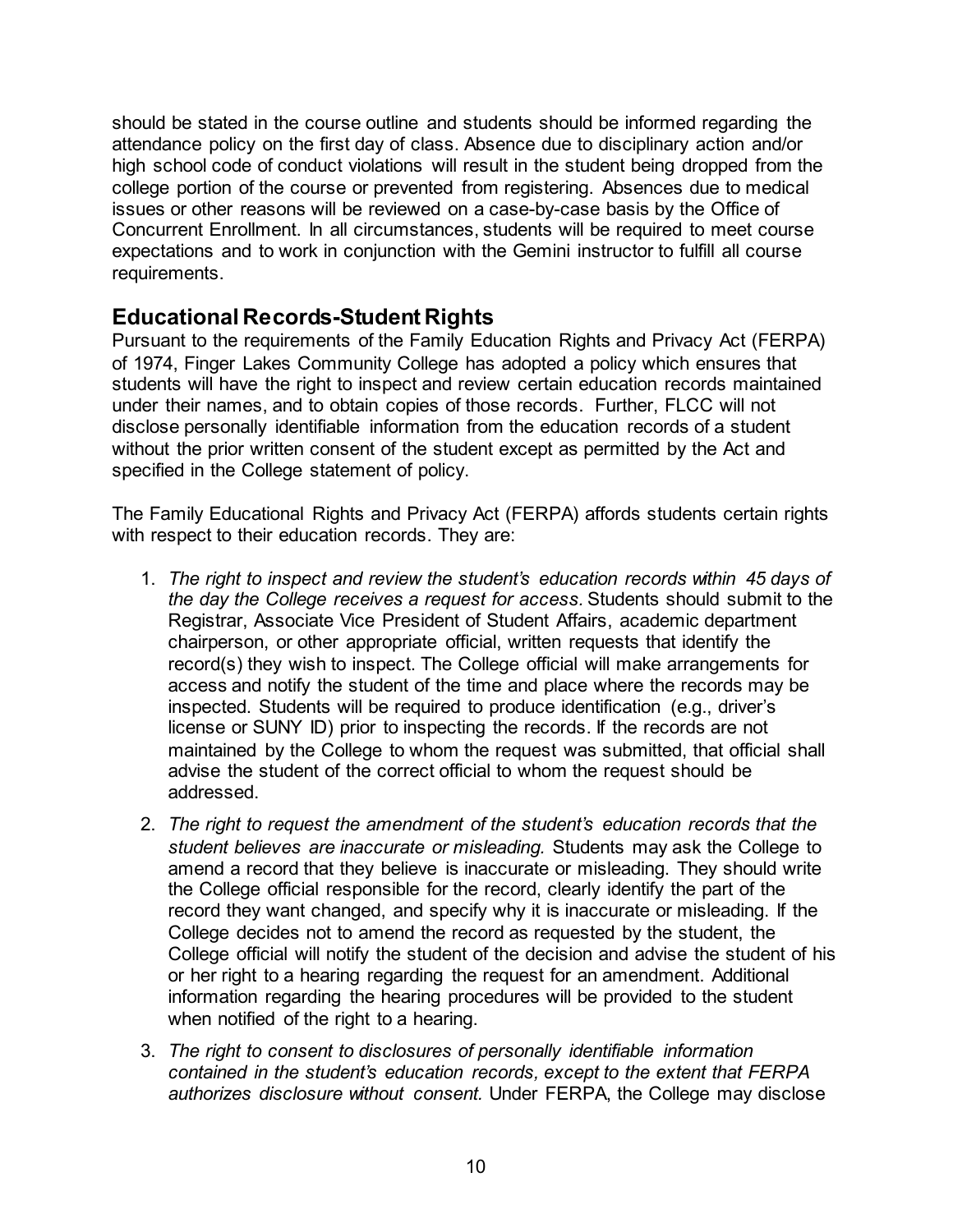should be stated in the course outline and students should be informed regarding the attendance policy on the first day of class. Absence due to disciplinary action and/or high school code of conduct violations will result in the student being dropped from the college portion of the course or prevented from registering. Absences due to medical issues or other reasons will be reviewed on a case-by-case basis by the Office of Concurrent Enrollment. In all circumstances, students will be required to meet course expectations and to work in conjunction with the Gemini instructor to fulfill all course requirements.

## **Educational Records-Student Rights**

Pursuant to the requirements of the Family Education Rights and Privacy Act (FERPA) of 1974, Finger Lakes Community College has adopted a policy which ensures that students will have the right to inspect and review certain education records maintained under their names, and to obtain copies of those records. Further, FLCC will not disclose personally identifiable information from the education records of a student without the prior written consent of the student except as permitted by the Act and specified in the College statement of policy.

The Family Educational Rights and Privacy Act (FERPA) affords students certain rights with respect to their education records. They are:

- 1. *The right to inspect and review the student's education records within 45 days of the day the College receives a request for access.* Students should submit to the Registrar, Associate Vice President of Student Affairs, academic department chairperson, or other appropriate official, written requests that identify the record(s) they wish to inspect. The College official will make arrangements for access and notify the student of the time and place where the records may be inspected. Students will be required to produce identification (e.g., driver's license or SUNY ID) prior to inspecting the records. If the records are not maintained by the College to whom the request was submitted, that official shall advise the student of the correct official to whom the request should be addressed.
- 2. *The right to request the amendment of the student's education records that the student believes are inaccurate or misleading.* Students may ask the College to amend a record that they believe is inaccurate or misleading. They should write the College official responsible for the record, clearly identify the part of the record they want changed, and specify why it is inaccurate or misleading. If the College decides not to amend the record as requested by the student, the College official will notify the student of the decision and advise the student of his or her right to a hearing regarding the request for an amendment. Additional information regarding the hearing procedures will be provided to the student when notified of the right to a hearing.
- 3. *The right to consent to disclosures of personally identifiable information contained in the student's education records, except to the extent that FERPA authorizes disclosure without consent.* Under FERPA, the College may disclose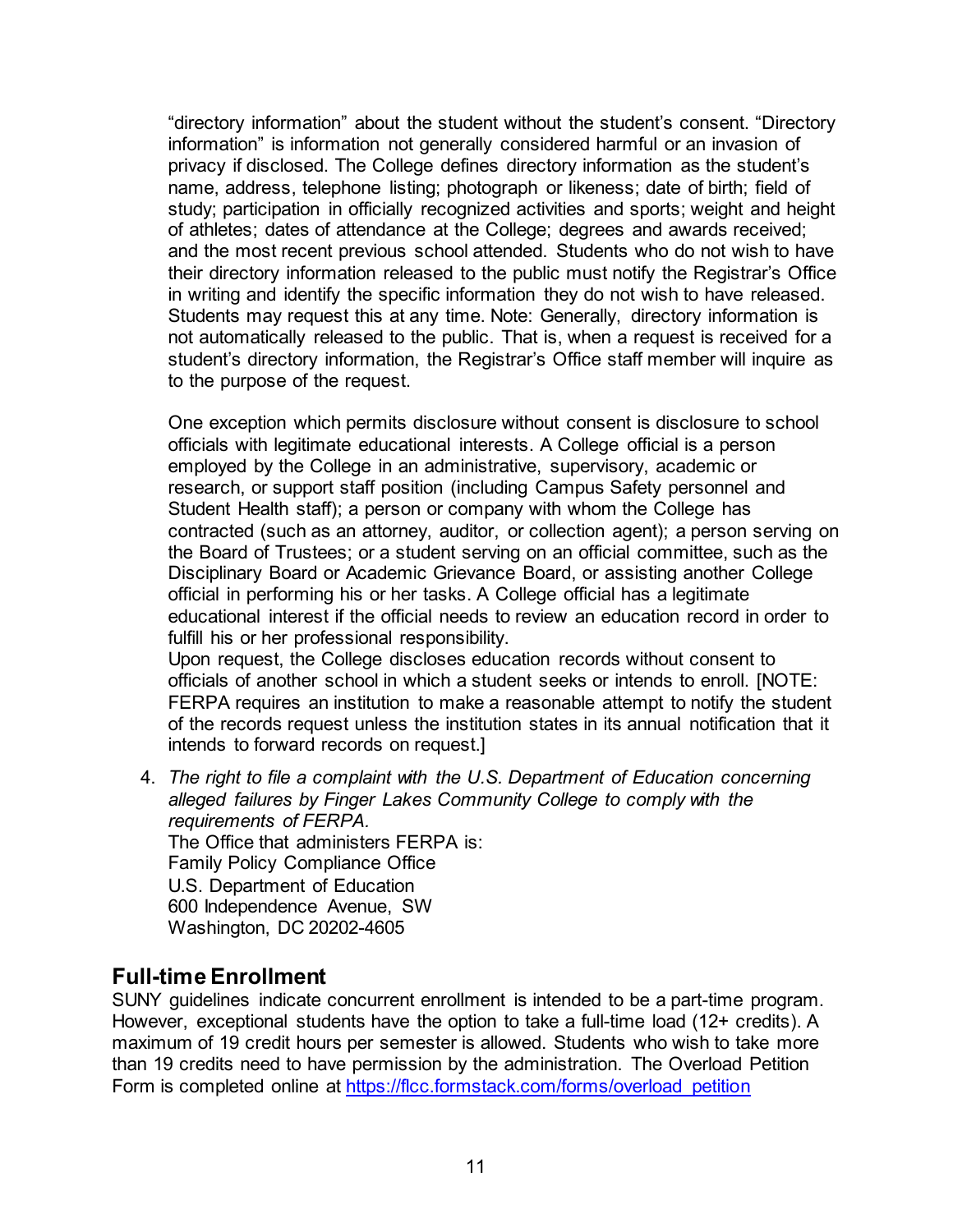"directory information" about the student without the student's consent. "Directory information" is information not generally considered harmful or an invasion of privacy if disclosed. The College defines directory information as the student's name, address, telephone listing; photograph or likeness; date of birth; field of study; participation in officially recognized activities and sports; weight and height of athletes; dates of attendance at the College; degrees and awards received; and the most recent previous school attended. Students who do not wish to have their directory information released to the public must notify the Registrar's Office in writing and identify the specific information they do not wish to have released. Students may request this at any time. Note: Generally, directory information is not automatically released to the public. That is, when a request is received for a student's directory information, the Registrar's Office staff member will inquire as to the purpose of the request.

One exception which permits disclosure without consent is disclosure to school officials with legitimate educational interests. A College official is a person employed by the College in an administrative, supervisory, academic or research, or support staff position (including Campus Safety personnel and Student Health staff); a person or company with whom the College has contracted (such as an attorney, auditor, or collection agent); a person serving on the Board of Trustees; or a student serving on an official committee, such as the Disciplinary Board or Academic Grievance Board, or assisting another College official in performing his or her tasks. A College official has a legitimate educational interest if the official needs to review an education record in order to fulfill his or her professional responsibility.

Upon request, the College discloses education records without consent to officials of another school in which a student seeks or intends to enroll. [NOTE: FERPA requires an institution to make a reasonable attempt to notify the student of the records request unless the institution states in its annual notification that it intends to forward records on request.]

4. *The right to file a complaint with the U.S. Department of Education concerning alleged failures by Finger Lakes Community College to comply with the requirements of FERPA.* The Office that administers FERPA is: Family Policy Compliance Office U.S. Department of Education 600 Independence Avenue, SW Washington, DC 20202-4605

#### **Full-time Enrollment**

SUNY guidelines indicate concurrent enrollment is intended to be a part-time program. However, exceptional students have the option to take a full-time load (12+ credits). A maximum of 19 credit hours per semester is allowed. Students who wish to take more than 19 credits need to have permission by the administration. The Overload Petition Form is completed online at https://flcc.formstack.com/forms/overload petition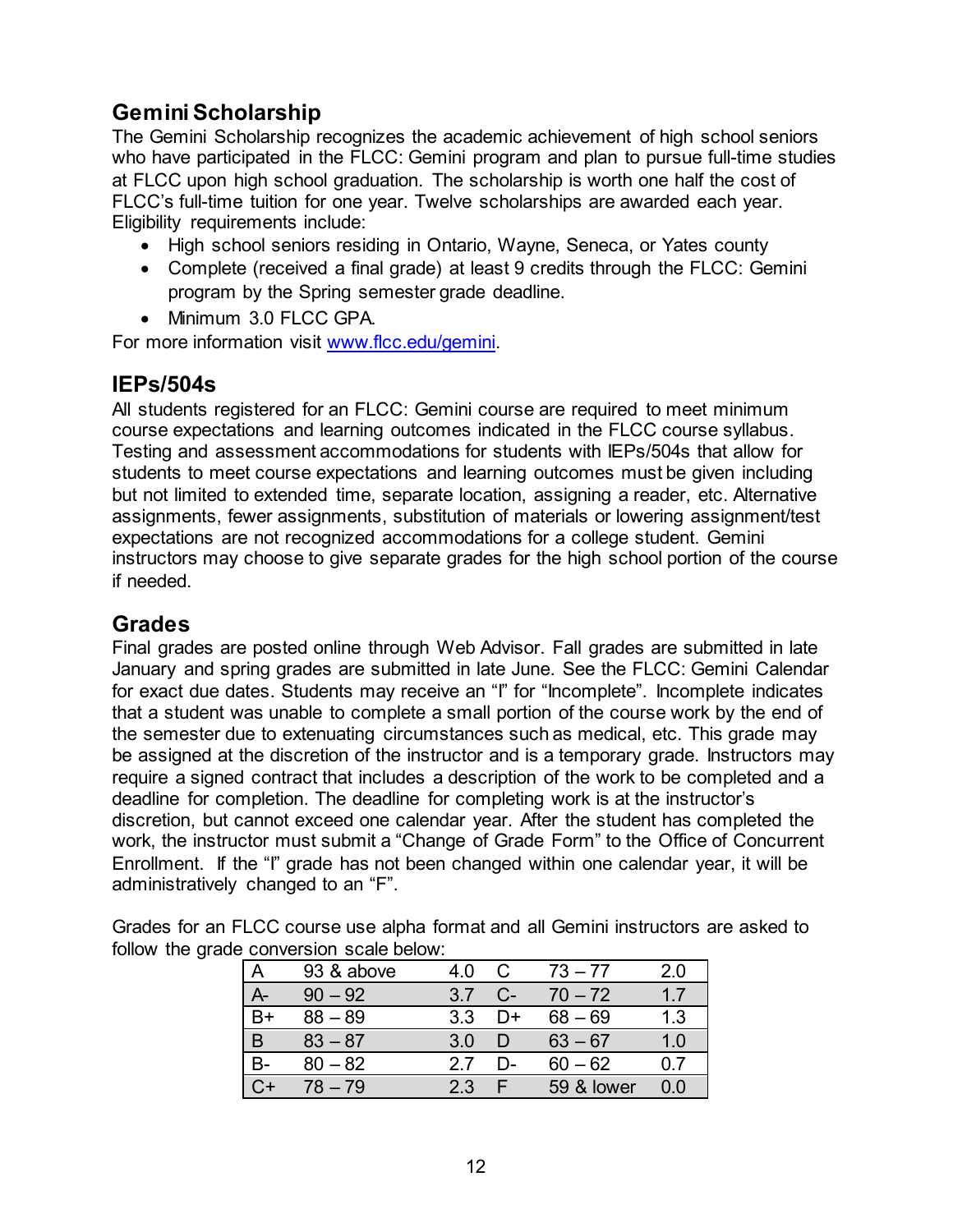# **Gemini Scholarship**

The Gemini Scholarship recognizes the academic achievement of high school seniors who have participated in the FLCC: Gemini program and plan to pursue full-time studies at FLCC upon high school graduation. The scholarship is worth one half the cost of FLCC's full-time tuition for one year. Twelve scholarships are awarded each year. Eligibility requirements include:

- High school seniors residing in Ontario, Wayne, Seneca, or Yates county
- Complete (received a final grade) at least 9 credits through the FLCC: Gemini program by the Spring semester grade deadline.
- Minimum 3.0 FLCC GPA.

For more information visit [www.flcc.edu/gemini.](http://www.flcc.edu/gemini) 

#### **IEPs/504s**

All students registered for an FLCC: Gemini course are required to meet minimum course expectations and learning outcomes indicated in the FLCC course syllabus. Testing and assessment accommodations for students with IEPs/504s that allow for students to meet course expectations and learning outcomes must be given including but not limited to extended time, separate location, assigning a reader, etc. Alternative assignments, fewer assignments, substitution of materials or lowering assignment/test expectations are not recognized accommodations for a college student. Gemini instructors may choose to give separate grades for the high school portion of the course if needed.

#### **Grades**

Final grades are posted online through Web Advisor. Fall grades are submitted in late January and spring grades are submitted in late June. See the FLCC: Gemini Calendar for exact due dates. Students may receive an "I" for "Incomplete". Incomplete indicates that a student was unable to complete a small portion of the course work by the end of the semester due to extenuating circumstances such as medical, etc. This grade may be assigned at the discretion of the instructor and is a temporary grade. Instructors may require a signed contract that includes a description of the work to be completed and a deadline for completion. The deadline for completing work is at the instructor's discretion, but cannot exceed one calendar year. After the student has completed the work, the instructor must submit a "Change of Grade Form" to the Office of Concurrent Enrollment. If the "I" grade has not been changed within one calendar year, it will be administratively changed to an "F".

Grades for an FLCC course use alpha format and all Gemini instructors are asked to follow the grade conversion scale below:

|   | 93 & above | 4.0 | C     | $73 - 77$  | 2.0 |
|---|------------|-----|-------|------------|-----|
|   | $90 - 92$  | 37  | $C$ - | $70 - 72$  | 17  |
|   | $88 - 89$  | 33  | D+    | $68 - 69$  | 1.3 |
| B | $83 - 87$  | 3.0 |       | $63 - 67$  | 1.0 |
|   | $80 - 82$  | 27  | D-    | $60 - 62$  | 0 7 |
|   | 78 – 79    | 2.3 |       | 59 & lower |     |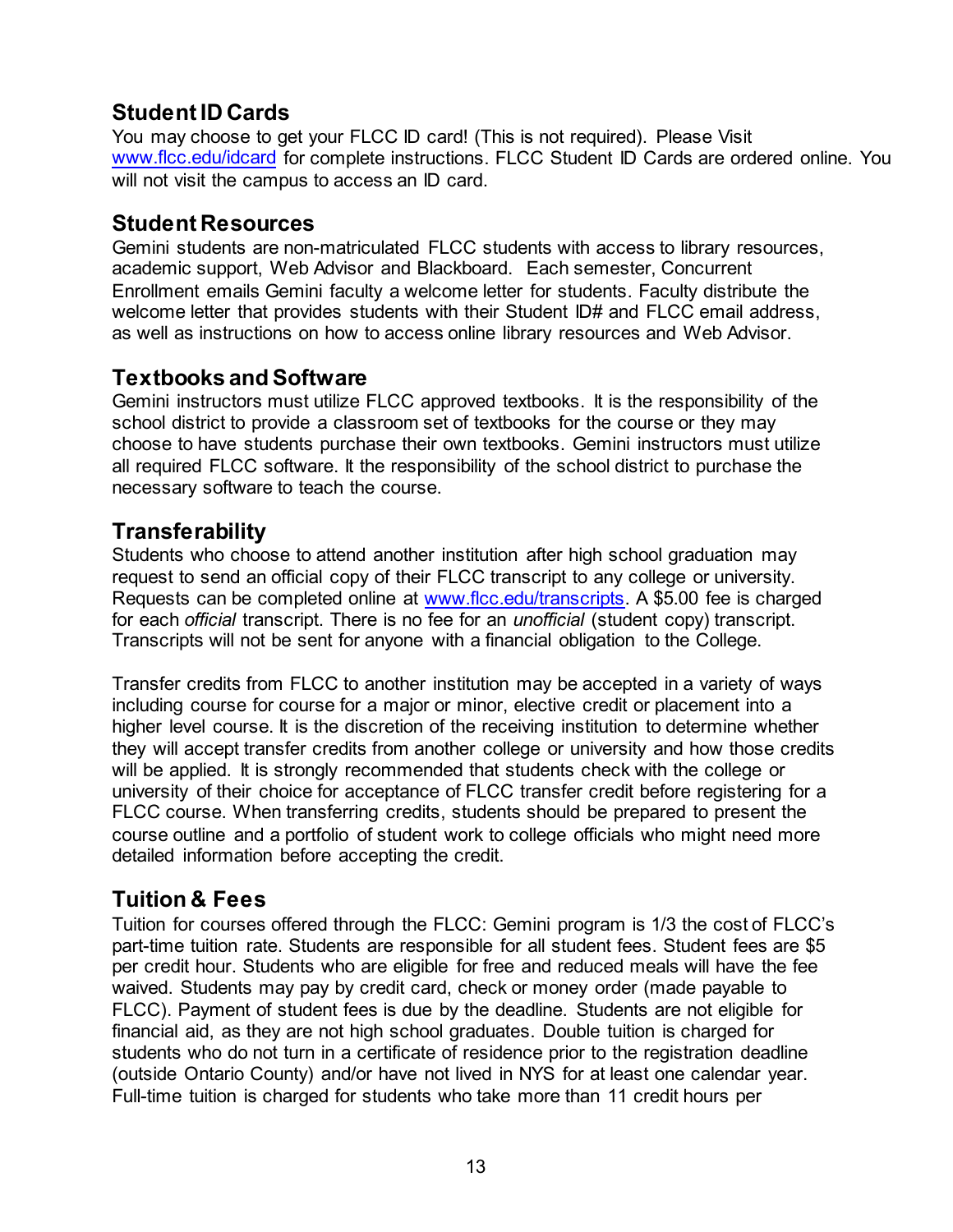# **Student ID Cards**

You may choose to get your FLCC ID card! (This is not required). Please Visit [www.flcc.edu/idcard](http://www.flcc.edu/idcard) for complete instructions. FLCC Student ID Cards are ordered online. You will not visit the campus to access an ID card.

## **Student Resources**

Gemini students are non-matriculated FLCC students with access to library resources, academic support, Web Advisor and Blackboard. Each semester, Concurrent Enrollment emails Gemini faculty a welcome letter for students. Faculty distribute the welcome letter that provides students with their Student ID# and FLCC email address, as well as instructions on how to access online library resources and Web Advisor.

# **Textbooks and Software**

Gemini instructors must utilize FLCC approved textbooks. It is the responsibility of the school district to provide a classroom set of textbooks for the course or they may choose to have students purchase their own textbooks. Gemini instructors must utilize all required FLCC software. It the responsibility of the school district to purchase the necessary software to teach the course.

# **Transferability**

Students who choose to attend another institution after high school graduation may request to send an official copy of their FLCC transcript to any college or university. Requests can be completed online at [www.flcc.edu/transcripts.](http://www.flcc.edu/transcripts) A \$5.00 fee is charged for each *official* transcript. There is no fee for an *unofficial* (student copy) transcript. Transcripts will not be sent for anyone with a financial obligation to the College.

Transfer credits from FLCC to another institution may be accepted in a variety of ways including course for course for a major or minor, elective credit or placement into a higher level course. It is the discretion of the receiving institution to determine whether they will accept transfer credits from another college or university and how those credits will be applied. It is strongly recommended that students check with the college or university of their choice for acceptance of FLCC transfer credit before registering for a FLCC course. When transferring credits, students should be prepared to present the course outline and a portfolio of student work to college officials who might need more detailed information before accepting the credit.

# **Tuition & Fees**

Tuition for courses offered through the FLCC: Gemini program is 1/3 the cost of FLCC's part-time tuition rate. Students are responsible for all student fees. Student fees are \$5 per credit hour. Students who are eligible for free and reduced meals will have the fee waived. Students may pay by credit card, check or money order (made payable to FLCC). Payment of student fees is due by the deadline. Students are not eligible for financial aid, as they are not high school graduates. Double tuition is charged for students who do not turn in a certificate of residence prior to the registration deadline (outside Ontario County) and/or have not lived in NYS for at least one calendar year. Full-time tuition is charged for students who take more than 11 credit hours per